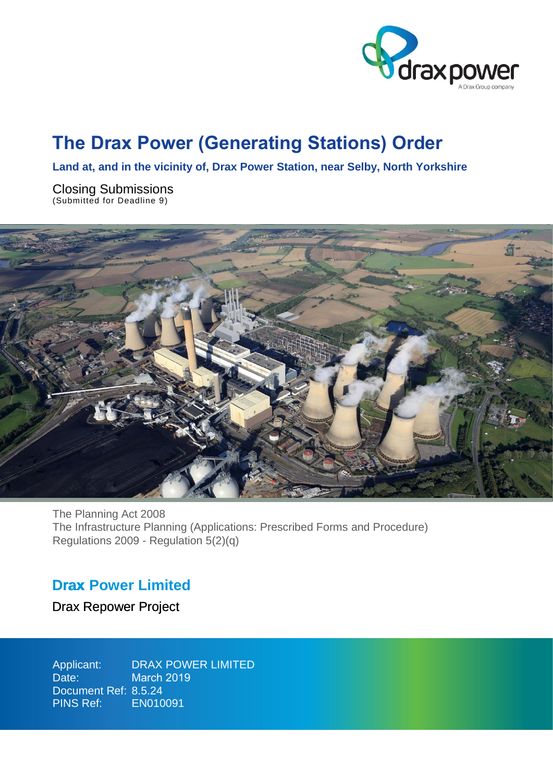

# The Drax Power (Generating Stations) Order

**Land at, and in the vicinity of, Drax Power Station, near Selby, North Yorkshire**

Closing Submissions (Submitted for Deadline 9)



The Planning Act 2008 The Infrastructure Planning (Applications: Prescribed Forms and Procedure) Regulations 2009 - Regulation 5(2)(q)

### **Drax Power Limited** Drax

Drax Repower Project

Applicant: Date: Document Ref: 8.5.24 PINS Ref: DRAX POWER LIMITED March 2019 EN010091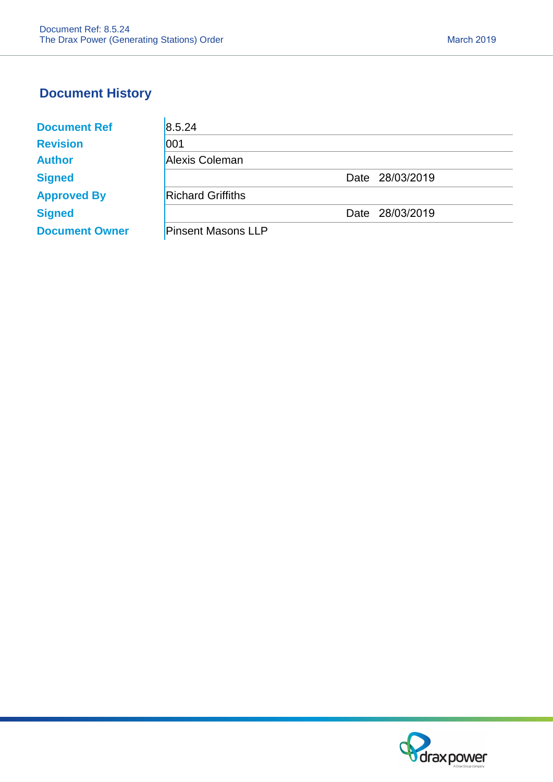l.

## **Document History**

| <b>Document Ref</b>   | 8.5.24                    |                 |
|-----------------------|---------------------------|-----------------|
| <b>Revision</b>       | 001                       |                 |
| <b>Author</b>         | Alexis Coleman            |                 |
| <b>Signed</b>         |                           | Date 28/03/2019 |
| <b>Approved By</b>    | <b>Richard Griffiths</b>  |                 |
| <b>Signed</b>         |                           | Date 28/03/2019 |
| <b>Document Owner</b> | <b>Pinsent Masons LLP</b> |                 |

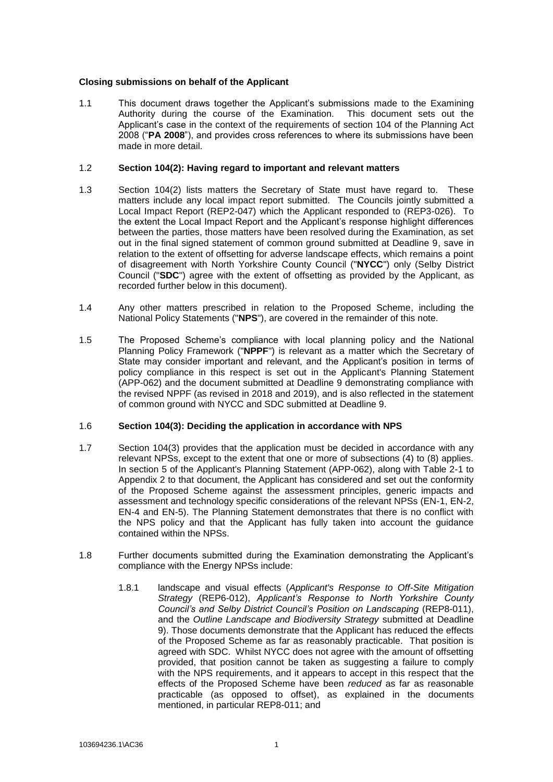#### **Closing submissions on behalf of the Applicant**

1.1 This document draws together the Applicant's submissions made to the Examining Authority during the course of the Examination. This document sets out the Applicant's case in the context of the requirements of section 104 of the Planning Act 2008 ("**PA 2008**"), and provides cross references to where its submissions have been made in more detail.

#### 1.2 **Section 104(2): Having regard to important and relevant matters**

- 1.3 Section 104(2) lists matters the Secretary of State must have regard to. These matters include any local impact report submitted. The Councils jointly submitted a Local Impact Report (REP2-047) which the Applicant responded to (REP3-026). To the extent the Local Impact Report and the Applicant's response highlight differences between the parties, those matters have been resolved during the Examination, as set out in the final signed statement of common ground submitted at Deadline 9, save in relation to the extent of offsetting for adverse landscape effects, which remains a point of disagreement with North Yorkshire County Council ("**NYCC**") only (Selby District Council ("**SDC**") agree with the extent of offsetting as provided by the Applicant, as recorded further below in this document).
- 1.4 Any other matters prescribed in relation to the Proposed Scheme, including the National Policy Statements ("**NPS**"), are covered in the remainder of this note.
- 1.5 The Proposed Scheme's compliance with local planning policy and the National Planning Policy Framework ("**NPPF**") is relevant as a matter which the Secretary of State may consider important and relevant, and the Applicant's position in terms of policy compliance in this respect is set out in the Applicant's Planning Statement (APP-062) and the document submitted at Deadline 9 demonstrating compliance with the revised NPPF (as revised in 2018 and 2019), and is also reflected in the statement of common ground with NYCC and SDC submitted at Deadline 9.

#### 1.6 **Section 104(3): Deciding the application in accordance with NPS**

- 1.7 Section 104(3) provides that the application must be decided in accordance with any relevant NPSs, except to the extent that one or more of subsections (4) to (8) applies. In section 5 of the Applicant's Planning Statement (APP-062), along with Table 2-1 to Appendix 2 to that document, the Applicant has considered and set out the conformity of the Proposed Scheme against the assessment principles, generic impacts and assessment and technology specific considerations of the relevant NPSs (EN-1, EN-2, EN-4 and EN-5). The Planning Statement demonstrates that there is no conflict with the NPS policy and that the Applicant has fully taken into account the guidance contained within the NPSs.
- 1.8 Further documents submitted during the Examination demonstrating the Applicant's compliance with the Energy NPSs include:
	- 1.8.1 landscape and visual effects (*Applicant's Response to Off-Site Mitigation Strategy* (REP6-012), *Applicant's Response to North Yorkshire County Council's and Selby District Council's Position on Landscaping* (REP8-011), and the *Outline Landscape and Biodiversity Strategy* submitted at Deadline 9). Those documents demonstrate that the Applicant has reduced the effects of the Proposed Scheme as far as reasonably practicable. That position is agreed with SDC. Whilst NYCC does not agree with the amount of offsetting provided, that position cannot be taken as suggesting a failure to comply with the NPS requirements, and it appears to accept in this respect that the effects of the Proposed Scheme have been *reduced* as far as reasonable practicable (as opposed to offset), as explained in the documents mentioned, in particular REP8-011; and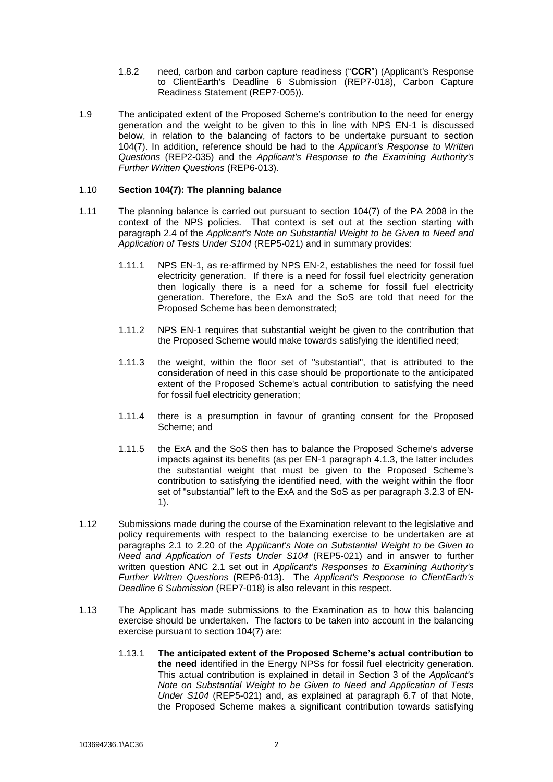- 1.8.2 need, carbon and carbon capture readiness ("**CCR**") (Applicant's Response to ClientEarth's Deadline 6 Submission (REP7-018), Carbon Capture Readiness Statement (REP7-005)).
- 1.9 The anticipated extent of the Proposed Scheme's contribution to the need for energy generation and the weight to be given to this in line with NPS EN-1 is discussed below, in relation to the balancing of factors to be undertake pursuant to section 104(7). In addition, reference should be had to the *Applicant's Response to Written Questions* (REP2-035) and the *Applicant's Response to the Examining Authority's Further Written Questions* (REP6-013).

#### 1.10 **Section 104(7): The planning balance**

- 1.11 The planning balance is carried out pursuant to section 104(7) of the PA 2008 in the context of the NPS policies. That context is set out at the section starting with paragraph 2.4 of the *Applicant's Note on Substantial Weight to be Given to Need and Application of Tests Under S104* (REP5-021) and in summary provides:
	- 1.11.1 NPS EN-1, as re-affirmed by NPS EN-2, establishes the need for fossil fuel electricity generation. If there is a need for fossil fuel electricity generation then logically there is a need for a scheme for fossil fuel electricity generation. Therefore, the ExA and the SoS are told that need for the Proposed Scheme has been demonstrated;
	- 1.11.2 NPS EN-1 requires that substantial weight be given to the contribution that the Proposed Scheme would make towards satisfying the identified need;
	- 1.11.3 the weight, within the floor set of "substantial", that is attributed to the consideration of need in this case should be proportionate to the anticipated extent of the Proposed Scheme's actual contribution to satisfying the need for fossil fuel electricity generation;
	- 1.11.4 there is a presumption in favour of granting consent for the Proposed Scheme; and
	- 1.11.5 the ExA and the SoS then has to balance the Proposed Scheme's adverse impacts against its benefits (as per EN-1 paragraph 4.1.3, the latter includes the substantial weight that must be given to the Proposed Scheme's contribution to satisfying the identified need, with the weight within the floor set of "substantial" left to the ExA and the SoS as per paragraph 3.2.3 of EN-1).
- 1.12 Submissions made during the course of the Examination relevant to the legislative and policy requirements with respect to the balancing exercise to be undertaken are at paragraphs 2.1 to 2.20 of the *Applicant's Note on Substantial Weight to be Given to Need and Application of Tests Under S104* (REP5-021) and in answer to further written question ANC 2.1 set out in *Applicant's Responses to Examining Authority's Further Written Questions* (REP6-013). The *Applicant's Response to ClientEarth's Deadline 6 Submission* (REP7-018) is also relevant in this respect.
- 1.13 The Applicant has made submissions to the Examination as to how this balancing exercise should be undertaken. The factors to be taken into account in the balancing exercise pursuant to section 104(7) are:
	- 1.13.1 **The anticipated extent of the Proposed Scheme's actual contribution to the need** identified in the Energy NPSs for fossil fuel electricity generation. This actual contribution is explained in detail in Section 3 of the *Applicant's Note on Substantial Weight to be Given to Need and Application of Tests Under S104* (REP5-021) and, as explained at paragraph 6.7 of that Note, the Proposed Scheme makes a significant contribution towards satisfying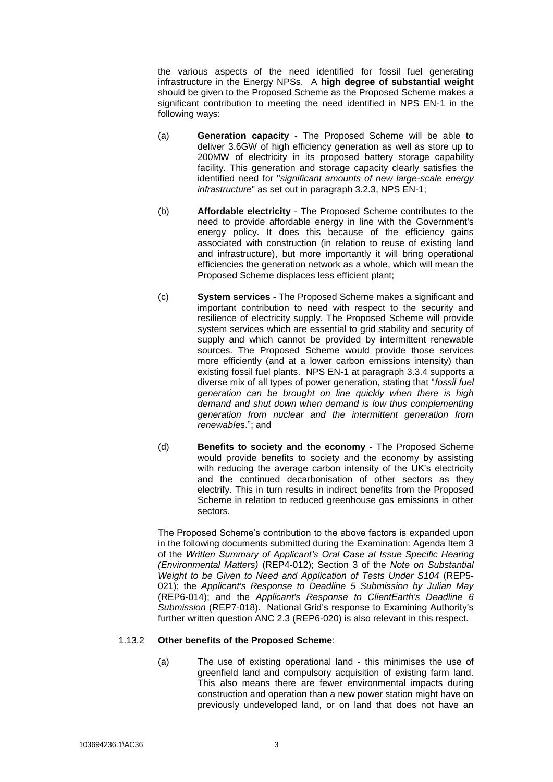the various aspects of the need identified for fossil fuel generating infrastructure in the Energy NPSs. A **high degree of substantial weight** should be given to the Proposed Scheme as the Proposed Scheme makes a significant contribution to meeting the need identified in NPS EN-1 in the following ways:

- (a) **Generation capacity** The Proposed Scheme will be able to deliver 3.6GW of high efficiency generation as well as store up to 200MW of electricity in its proposed battery storage capability facility. This generation and storage capacity clearly satisfies the identified need for "*significant amounts of new large-scale energy infrastructure*" as set out in paragraph 3.2.3, NPS EN-1;
- (b) **Affordable electricity** The Proposed Scheme contributes to the need to provide affordable energy in line with the Government's energy policy. It does this because of the efficiency gains associated with construction (in relation to reuse of existing land and infrastructure), but more importantly it will bring operational efficiencies the generation network as a whole, which will mean the Proposed Scheme displaces less efficient plant;
- (c) **System services** The Proposed Scheme makes a significant and important contribution to need with respect to the security and resilience of electricity supply. The Proposed Scheme will provide system services which are essential to grid stability and security of supply and which cannot be provided by intermittent renewable sources. The Proposed Scheme would provide those services more efficiently (and at a lower carbon emissions intensity) than existing fossil fuel plants. NPS EN-1 at paragraph 3.3.4 supports a diverse mix of all types of power generation, stating that "*fossil fuel generation can be brought on line quickly when there is high demand and shut down when demand is low thus complementing generation from nuclear and the intermittent generation from renewable*s."; and
- (d) **Benefits to society and the economy** The Proposed Scheme would provide benefits to society and the economy by assisting with reducing the average carbon intensity of the UK's electricity and the continued decarbonisation of other sectors as they electrify. This in turn results in indirect benefits from the Proposed Scheme in relation to reduced greenhouse gas emissions in other sectors.

The Proposed Scheme's contribution to the above factors is expanded upon in the following documents submitted during the Examination: Agenda Item 3 of the *Written Summary of Applicant's Oral Case at Issue Specific Hearing (Environmental Matters)* (REP4-012); Section 3 of the *Note on Substantial Weight to be Given to Need and Application of Tests Under S104* (REP5- 021); the *Applicant's Response to Deadline 5 Submission by Julian May* (REP6-014); and the *Applicant's Response to ClientEarth's Deadline 6 Submission* (REP7-018). National Grid's response to Examining Authority's further written question ANC 2.3 (REP6-020) is also relevant in this respect.

#### 1.13.2 **Other benefits of the Proposed Scheme**:

(a) The use of existing operational land - this minimises the use of greenfield land and compulsory acquisition of existing farm land. This also means there are fewer environmental impacts during construction and operation than a new power station might have on previously undeveloped land, or on land that does not have an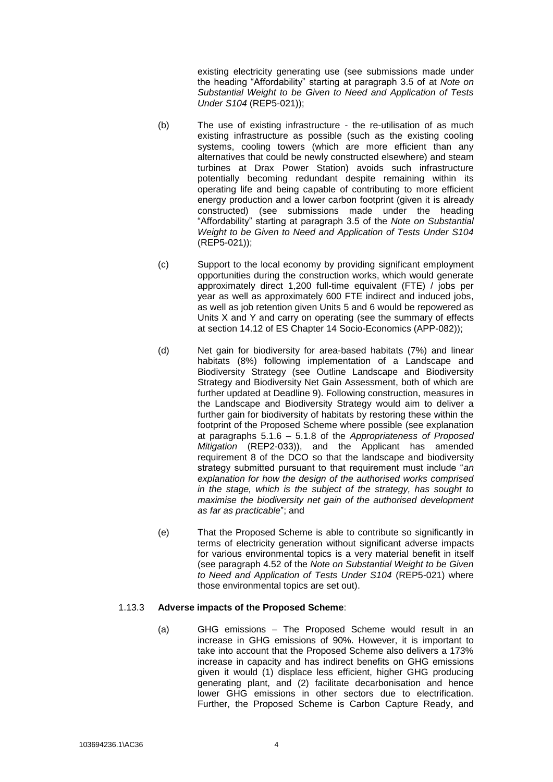existing electricity generating use (see submissions made under the heading "Affordability" starting at paragraph 3.5 of at *Note on Substantial Weight to be Given to Need and Application of Tests Under S104* (REP5-021));

- (b) The use of existing infrastructure the re-utilisation of as much existing infrastructure as possible (such as the existing cooling systems, cooling towers (which are more efficient than any alternatives that could be newly constructed elsewhere) and steam turbines at Drax Power Station) avoids such infrastructure potentially becoming redundant despite remaining within its operating life and being capable of contributing to more efficient energy production and a lower carbon footprint (given it is already constructed) (see submissions made under the heading "Affordability" starting at paragraph 3.5 of the *Note on Substantial Weight to be Given to Need and Application of Tests Under S104* (REP5-021));
- (c) Support to the local economy by providing significant employment opportunities during the construction works, which would generate approximately direct 1,200 full-time equivalent (FTE) / jobs per year as well as approximately 600 FTE indirect and induced jobs, as well as job retention given Units 5 and 6 would be repowered as Units X and Y and carry on operating (see the summary of effects at section 14.12 of ES Chapter 14 Socio-Economics (APP-082));
- (d) Net gain for biodiversity for area-based habitats (7%) and linear habitats (8%) following implementation of a Landscape and Biodiversity Strategy (see Outline Landscape and Biodiversity Strategy and Biodiversity Net Gain Assessment, both of which are further updated at Deadline 9). Following construction, measures in the Landscape and Biodiversity Strategy would aim to deliver a further gain for biodiversity of habitats by restoring these within the footprint of the Proposed Scheme where possible (see explanation at paragraphs 5.1.6 – 5.1.8 of the *Appropriateness of Proposed Mitigation* (REP2-033)), and the Applicant has amended requirement 8 of the DCO so that the landscape and biodiversity strategy submitted pursuant to that requirement must include "*an explanation for how the design of the authorised works comprised in the stage, which is the subject of the strategy, has sought to maximise the biodiversity net gain of the authorised development as far as practicable*"; and
- (e) That the Proposed Scheme is able to contribute so significantly in terms of electricity generation without significant adverse impacts for various environmental topics is a very material benefit in itself (see paragraph 4.52 of the *Note on Substantial Weight to be Given to Need and Application of Tests Under S104* (REP5-021) where those environmental topics are set out).

#### 1.13.3 **Adverse impacts of the Proposed Scheme**:

(a) GHG emissions – The Proposed Scheme would result in an increase in GHG emissions of 90%. However, it is important to take into account that the Proposed Scheme also delivers a 173% increase in capacity and has indirect benefits on GHG emissions given it would (1) displace less efficient, higher GHG producing generating plant, and (2) facilitate decarbonisation and hence lower GHG emissions in other sectors due to electrification. Further, the Proposed Scheme is Carbon Capture Ready, and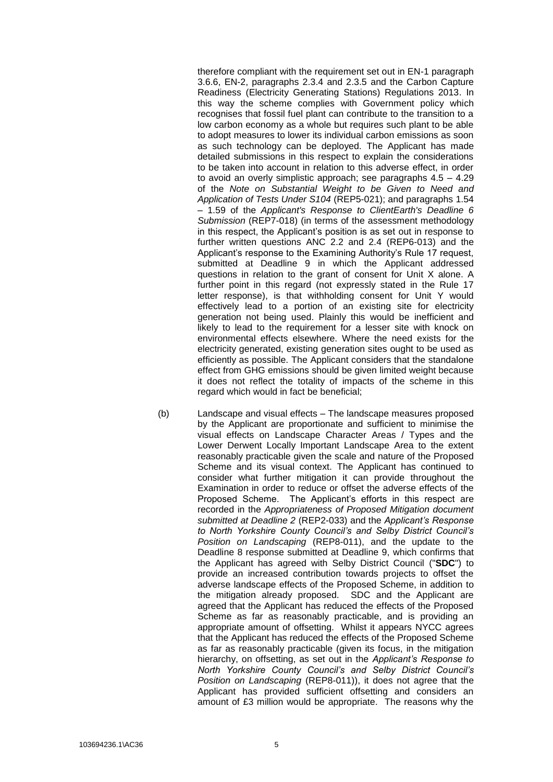therefore compliant with the requirement set out in EN-1 paragraph 3.6.6, EN-2, paragraphs 2.3.4 and 2.3.5 and the Carbon Capture Readiness (Electricity Generating Stations) Regulations 2013. In this way the scheme complies with Government policy which recognises that fossil fuel plant can contribute to the transition to a low carbon economy as a whole but requires such plant to be able to adopt measures to lower its individual carbon emissions as soon as such technology can be deployed. The Applicant has made detailed submissions in this respect to explain the considerations to be taken into account in relation to this adverse effect, in order to avoid an overly simplistic approach; see paragraphs 4.5 – 4.29 of the *Note on Substantial Weight to be Given to Need and Application of Tests Under S104* (REP5-021); and paragraphs 1.54 – 1.59 of the *Applicant's Response to ClientEarth's Deadline 6 Submission* (REP7-018) (in terms of the assessment methodology in this respect, the Applicant's position is as set out in response to further written questions ANC 2.2 and 2.4 (REP6-013) and the Applicant's response to the Examining Authority's Rule 17 request, submitted at Deadline 9 in which the Applicant addressed questions in relation to the grant of consent for Unit X alone. A further point in this regard (not expressly stated in the Rule 17 letter response), is that withholding consent for Unit Y would effectively lead to a portion of an existing site for electricity generation not being used. Plainly this would be inefficient and likely to lead to the requirement for a lesser site with knock on environmental effects elsewhere. Where the need exists for the electricity generated, existing generation sites ought to be used as efficiently as possible. The Applicant considers that the standalone effect from GHG emissions should be given limited weight because it does not reflect the totality of impacts of the scheme in this regard which would in fact be beneficial;

(b) Landscape and visual effects – The landscape measures proposed by the Applicant are proportionate and sufficient to minimise the visual effects on Landscape Character Areas / Types and the Lower Derwent Locally Important Landscape Area to the extent reasonably practicable given the scale and nature of the Proposed Scheme and its visual context. The Applicant has continued to consider what further mitigation it can provide throughout the Examination in order to reduce or offset the adverse effects of the Proposed Scheme. The Applicant's efforts in this respect are recorded in the *Appropriateness of Proposed Mitigation document submitted at Deadline 2* (REP2-033) and the *Applicant's Response to North Yorkshire County Council's and Selby District Council's Position on Landscaping* (REP8-011), and the update to the Deadline 8 response submitted at Deadline 9, which confirms that the Applicant has agreed with Selby District Council ("**SDC**") to provide an increased contribution towards projects to offset the adverse landscape effects of the Proposed Scheme, in addition to the mitigation already proposed. SDC and the Applicant are agreed that the Applicant has reduced the effects of the Proposed Scheme as far as reasonably practicable, and is providing an appropriate amount of offsetting. Whilst it appears NYCC agrees that the Applicant has reduced the effects of the Proposed Scheme as far as reasonably practicable (given its focus, in the mitigation hierarchy, on offsetting, as set out in the *Applicant's Response to North Yorkshire County Council's and Selby District Council's Position on Landscaping* (REP8-011)), it does not agree that the Applicant has provided sufficient offsetting and considers an amount of £3 million would be appropriate. The reasons why the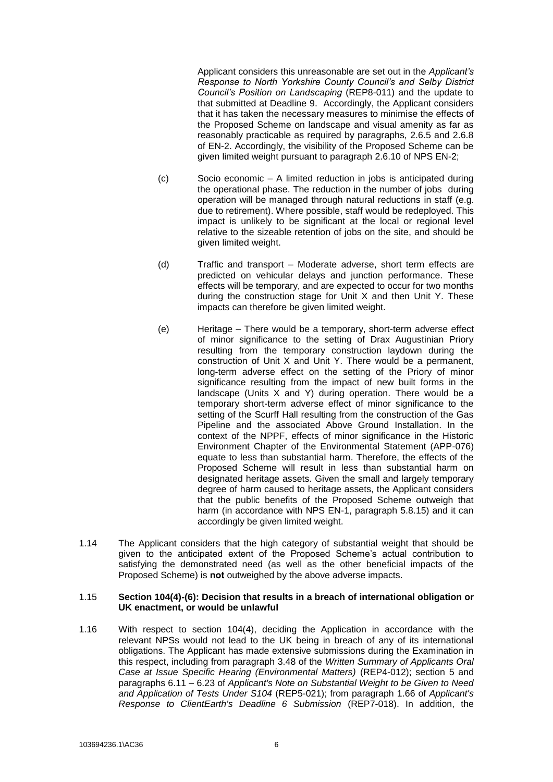Applicant considers this unreasonable are set out in the *Applicant's Response to North Yorkshire County Council's and Selby District Council's Position on Landscaping* (REP8-011) and the update to that submitted at Deadline 9. Accordingly, the Applicant considers that it has taken the necessary measures to minimise the effects of the Proposed Scheme on landscape and visual amenity as far as reasonably practicable as required by paragraphs, 2.6.5 and 2.6.8 of EN-2. Accordingly, the visibility of the Proposed Scheme can be given limited weight pursuant to paragraph 2.6.10 of NPS EN-2;

- (c) Socio economic A limited reduction in jobs is anticipated during the operational phase. The reduction in the number of jobs during operation will be managed through natural reductions in staff (e.g. due to retirement). Where possible, staff would be redeployed. This impact is unlikely to be significant at the local or regional level relative to the sizeable retention of jobs on the site, and should be given limited weight.
- (d) Traffic and transport Moderate adverse, short term effects are predicted on vehicular delays and junction performance. These effects will be temporary, and are expected to occur for two months during the construction stage for Unit X and then Unit Y. These impacts can therefore be given limited weight.
- (e) Heritage There would be a temporary, short-term adverse effect of minor significance to the setting of Drax Augustinian Priory resulting from the temporary construction laydown during the construction of Unit X and Unit Y. There would be a permanent, long-term adverse effect on the setting of the Priory of minor significance resulting from the impact of new built forms in the landscape (Units X and Y) during operation. There would be a temporary short-term adverse effect of minor significance to the setting of the Scurff Hall resulting from the construction of the Gas Pipeline and the associated Above Ground Installation. In the context of the NPPF, effects of minor significance in the Historic Environment Chapter of the Environmental Statement (APP-076) equate to less than substantial harm. Therefore, the effects of the Proposed Scheme will result in less than substantial harm on designated heritage assets. Given the small and largely temporary degree of harm caused to heritage assets, the Applicant considers that the public benefits of the Proposed Scheme outweigh that harm (in accordance with NPS EN-1, paragraph 5.8.15) and it can accordingly be given limited weight.
- 1.14 The Applicant considers that the high category of substantial weight that should be given to the anticipated extent of the Proposed Scheme's actual contribution to satisfying the demonstrated need (as well as the other beneficial impacts of the Proposed Scheme) is not outweighed by the above adverse impacts.

#### 1.15 **Section 104(4)-(6): Decision that results in a breach of international obligation or UK enactment, or would be unlawful**

1.16 With respect to section 104(4), deciding the Application in accordance with the relevant NPSs would not lead to the UK being in breach of any of its international obligations. The Applicant has made extensive submissions during the Examination in this respect, including from paragraph 3.48 of the *Written Summary of Applicants Oral Case at Issue Specific Hearing (Environmental Matters)* (REP4-012); section 5 and paragraphs 6.11 – 6.23 of *Applicant's Note on Substantial Weight to be Given to Need and Application of Tests Under S104* (REP5-021); from paragraph 1.66 of *Applicant's Response to ClientEarth's Deadline 6 Submission* (REP7-018). In addition, the